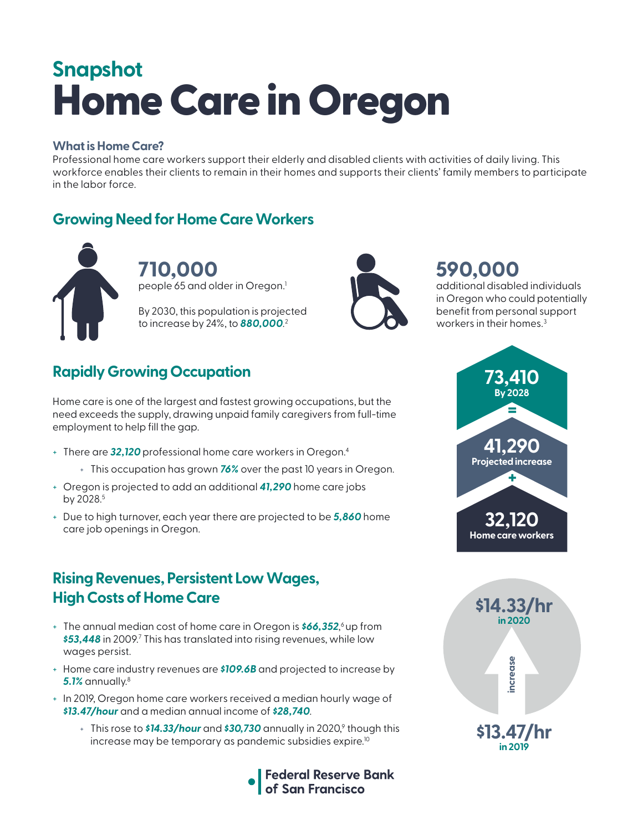# Home Care in Oregon **Snapshot**

#### **What is Home Care?**

Professional home care workers support their elderly and disabled clients with activities of daily living. This workforce enables their clients to remain in their homes and supports their clients' family members to participate in the labor force.

### **Growing Need for Home Care Workers**



**710,000**  people 65 and older in Oregon.<sup>1</sup>

By 2030, this population is projected to increase by 24%, to *880,000*. 2



# **590,000**

additional disabled individuals in Oregon who could potentially benefit from personal support workers in their homes.<sup>3</sup>

# **Rapidly Growing Occupation**

Home care is one of the largest and fastest growing occupations, but the need exceeds the supply, drawing unpaid family caregivers from full-time employment to help fill the gap.

- + There are *32,120* professional home care workers in Oregon.4
	- + This occupation has grown *76%* over the past 10 years in Oregon.
- + Oregon is projected to add an additional *41,290* home care jobs by 2028.<sup>5</sup>
- + Due to high turnover, each year there are projected to be *5,860* home care job openings in Oregon.

#### **Rising Revenues, Persistent Low Wages, High Costs of Home Care**

- + The annual median cost of home care in Oregon is *\$66,352*, 6 up from *\$53,448* in 2009.7 This has translated into rising revenues, while low wages persist.
- + Home care industry revenues are *\$109.6B* and projected to increase by *5.1%* annually.8
- + In 2019, Oregon home care workers received a median hourly wage of *\$13.47/hour* and a median annual income of *\$28,740*.
	- + This rose to **\$14.33/hour** and **\$30,730** annually in 2020,<sup>9</sup> though this increase may be temporary as pandemic subsidies expire.<sup>10</sup>





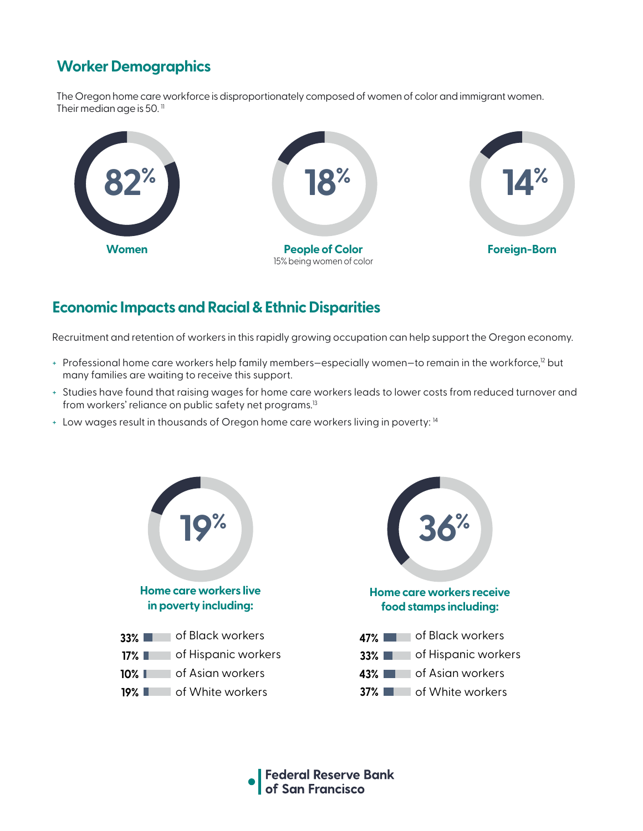## **Worker Demographics**

The Oregon home care workforce is disproportionately composed of women of color and immigrant women. Their median age is 50. $<sup>11</sup>$ </sup>



#### **Economic Impacts and Racial & Ethnic Disparities**

Recruitment and retention of workers in this rapidly growing occupation can help support the Oregon economy.

- + Professional home care workers help family members-especially women-to remain in the workforce,<sup>12</sup> but many families are waiting to receive this support.
- + Studies have found that raising wages for home care workers leads to lower costs from reduced turnover and from workers' reliance on public safety net programs.<sup>13</sup>
- + Low wages result in thousands of Oregon home care workers living in poverty: 14